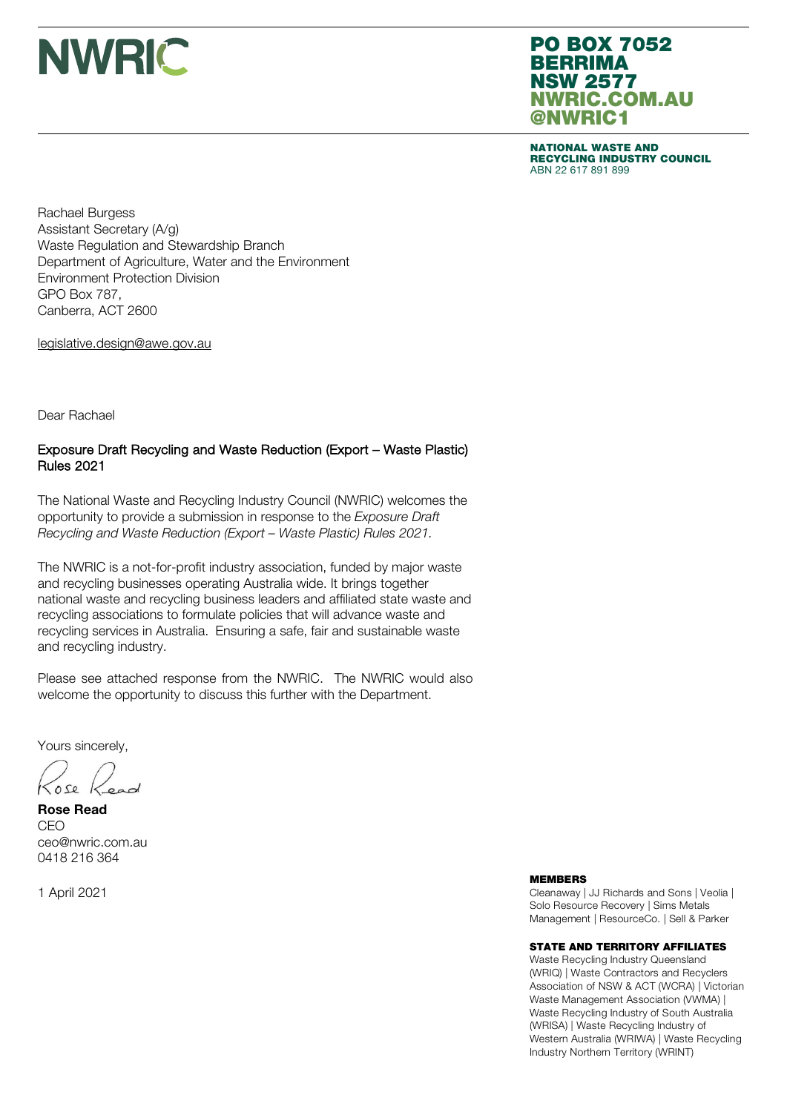

### PO BOX 7052 BERRIMA NSW 2577 NWRIC.COM.AU @NWRIC1

NATIONAL WASTE AND RECYCLING INDUSTRY COUNCIL ABN 22 617 891 899

Rachael Burgess Assistant Secretary (A/g) Waste Regulation and Stewardship Branch Department of Agriculture, Water and the Environment Environment Protection Division GPO Box 787, Canberra, ACT 2600

legislative.design@awe.gov.au

Dear Rachael

### Exposure Draft Recycling and Waste Reduction (Export – Waste Plastic) Rules 2021

The National Waste and Recycling Industry Council (NWRIC) welcomes the opportunity to provide a submission in response to the *Exposure Draft Recycling and Waste Reduction (Export – Waste Plastic) Rules 2021.*

The NWRIC is a not-for-profit industry association, funded by major waste and recycling businesses operating Australia wide. It brings together national waste and recycling business leaders and affiliated state waste and recycling associations to formulate policies that will advance waste and recycling services in Australia. Ensuring a safe, fair and sustainable waste and recycling industry.

Please see attached response from the NWRIC. The NWRIC would also welcome the opportunity to discuss this further with the Department.

Yours sincerely,

 $05e$ 

Rose Read CEO ceo@nwric.com.au 0418 216 364

1 April 2021

#### MEMBERS

Cleanaway | JJ Richards and Sons | Veolia | Solo Resource Recovery | Sims Metals Management | ResourceCo. | Sell & Parker

#### STATE AND TERRITORY AFFILIATES

Waste Recycling Industry Queensland (WRIQ) | Waste Contractors and Recyclers Association of NSW & ACT (WCRA) | Victorian Waste Management Association (VWMA) | Waste Recycling Industry of South Australia (WRISA) | Waste Recycling Industry of Western Australia (WRIWA) | Waste Recycling Industry Northern Territory (WRINT)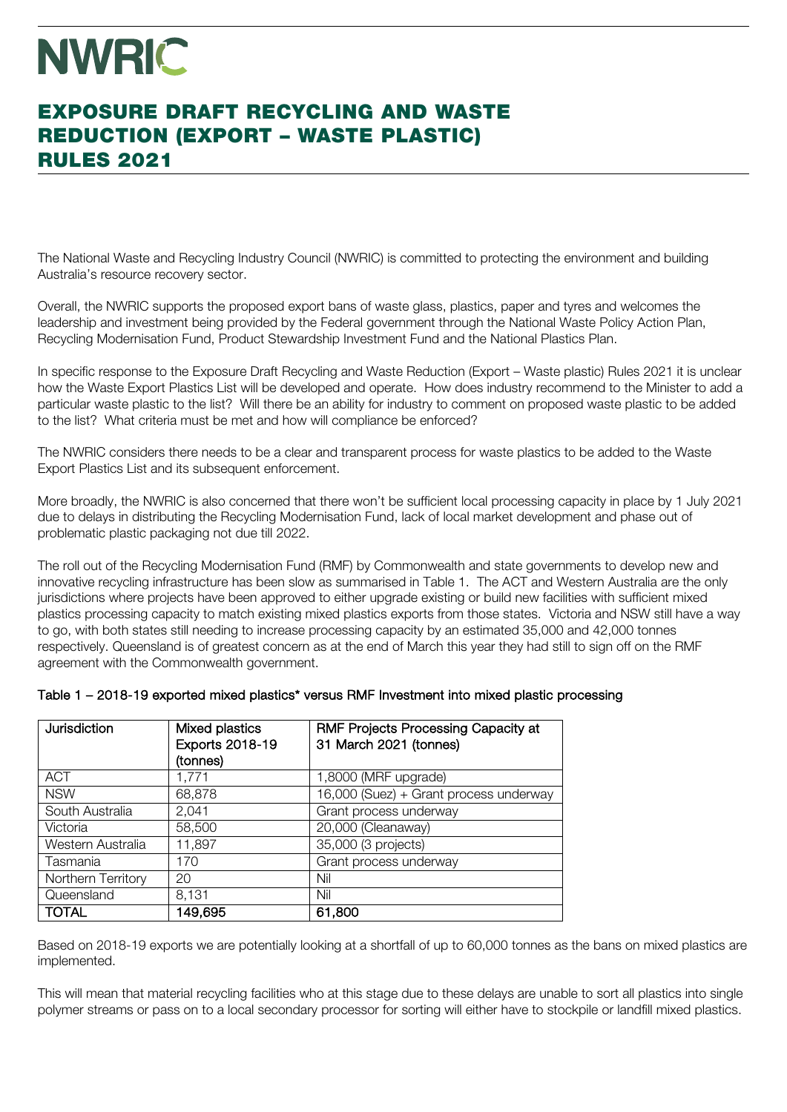## NWRIC

## EXPOSURE DRAFT RECYCLING AND WASTE EXPOSURE DRAFT RECYCLING AND WASTE REDUCTION (EXPORT – WASTE PLASTIC) REDUCTION (EXPORT – WASTE PLASTIC) RULES 2021 RULES 2021

The National Waste and Recycling Industry Council (NWRIC) is committed to protecting the environment and building Australia's resource recovery sector.

Overall, the NWRIC supports the proposed export bans of waste glass, plastics, paper and tyres and welcomes the leadership and investment being provided by the Federal government through the National Waste Policy Action Plan, Recycling Modernisation Fund, Product Stewardship Investment Fund and the National Plastics Plan.

In specific response to the Exposure Draft Recycling and Waste Reduction (Export – Waste plastic) Rules 2021 it is unclear how the Waste Export Plastics List will be developed and operate. How does industry recommend to the Minister to add a particular waste plastic to the list? Will there be an ability for industry to comment on proposed waste plastic to be added to the list? What criteria must be met and how will compliance be enforced?

The NWRIC considers there needs to be a clear and transparent process for waste plastics to be added to the Waste Export Plastics List and its subsequent enforcement.

More broadly, the NWRIC is also concerned that there won't be sufficient local processing capacity in place by 1 July 2021 due to delays in distributing the Recycling Modernisation Fund, lack of local market development and phase out of problematic plastic packaging not due till 2022.

The roll out of the Recycling Modernisation Fund (RMF) by Commonwealth and state governments to develop new and innovative recycling infrastructure has been slow as summarised in Table 1. The ACT and Western Australia are the only jurisdictions where projects have been approved to either upgrade existing or build new facilities with sufficient mixed plastics processing capacity to match existing mixed plastics exports from those states. Victoria and NSW still have a way to go, with both states still needing to increase processing capacity by an estimated 35,000 and 42,000 tonnes respectively. Queensland is of greatest concern as at the end of March this year they had still to sign off on the RMF agreement with the Commonwealth government.

| Jurisdiction       | Mixed plastics<br>Exports 2018-19<br>(tonnes) | <b>RMF Projects Processing Capacity at</b><br>31 March 2021 (tonnes) |
|--------------------|-----------------------------------------------|----------------------------------------------------------------------|
| <b>ACT</b>         | 1,771                                         | 1,8000 (MRF upgrade)                                                 |
| <b>NSW</b>         | 68,878                                        | 16,000 (Suez) + Grant process underway                               |
| South Australia    | 2,041                                         | Grant process underway                                               |
| Victoria           | 58,500                                        | 20,000 (Cleanaway)                                                   |
| Western Australia  | 11,897                                        | 35,000 (3 projects)                                                  |
| Tasmania           | 170                                           | Grant process underway                                               |
| Northern Territory | 20                                            | Nil                                                                  |
| Queensland         | 8,131                                         | Nil                                                                  |
| <b>TOTAL</b>       | 149,695                                       | 61,800                                                               |

| Table 1 - 2018-19 exported mixed plastics* versus RMF Investment into mixed plastic processing |  |
|------------------------------------------------------------------------------------------------|--|
|------------------------------------------------------------------------------------------------|--|

Based on 2018-19 exports we are potentially looking at a shortfall of up to 60,000 tonnes as the bans on mixed plastics are implemented.

This will mean that material recycling facilities who at this stage due to these delays are unable to sort all plastics into single polymer streams or pass on to a local secondary processor for sorting will either have to stockpile or landfill mixed plastics.